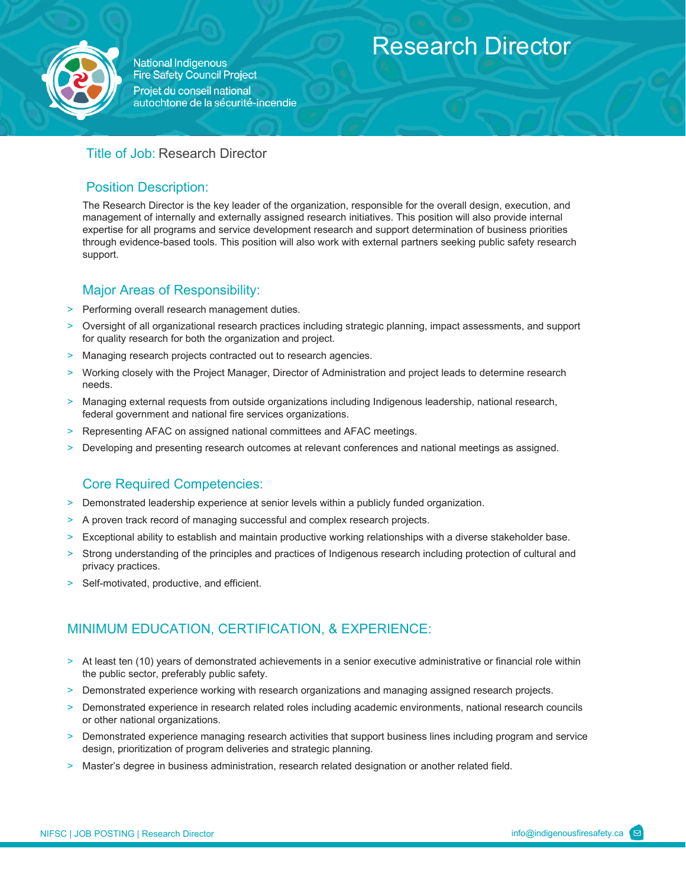

**National Indigenous Fire Safety Council Project** Projet du conseil national autochtone de la sécurité-incendie

# Research Director

### Title of Job: Research Director

### Position Description:

The Research Director is the key leader of the organization, responsible for the overall design, execution, and management of internally and externally assigned research initiatives. This position will also provide internal expertise for all programs and service development research and support determination of business priorities through evidence-based tools. This position will also work with external partners seeking public safety research support.

## Major Areas of Responsibility:

- > Performing overall research management duties.
- > Oversight of all organizational research practices including strategic planning, impact assessments, and support for quality research for both the organization and project.
- > Managing research projects contracted out to research agencies.
- > Working closely with the Project Manager, Director of Administration and project leads to determine research needs.
- > Managing external requests from outside organizations including Indigenous leadership, national research, federal government and national fire services organizations.
- > Representing AFAC on assigned national committees and AFAC meetings.
- > Developing and presenting research outcomes at relevant conferences and national meetings as assigned.

### Core Required Competencies:

- > Demonstrated leadership experience at senior levels within a publicly funded organization.
- > A proven track record of managing successful and complex research projects.
- > Exceptional ability to establish and maintain productive working relationships with a diverse stakeholder base.
- Strong understanding of the principles and practices of Indigenous research including protection of cultural and privacy practices.
- > Self-motivated, productive, and efficient.

## MINIMUM EDUCATION, CERTIFICATION, & EXPERIENCE:

- > At least ten (10) years of demonstrated achievements in a senior executive administrative or financial role within the public sector, preferably public safety.
- > Demonstrated experience working with research organizations and managing assigned research projects.
- > Demonstrated experience in research related roles including academic environments, national research councils or other national organizations.
- > Demonstrated experience managing research activities that support business lines including program and service design, prioritization of program deliveries and strategic planning.
- > Master's degree in business administration, research related designation or another related field.